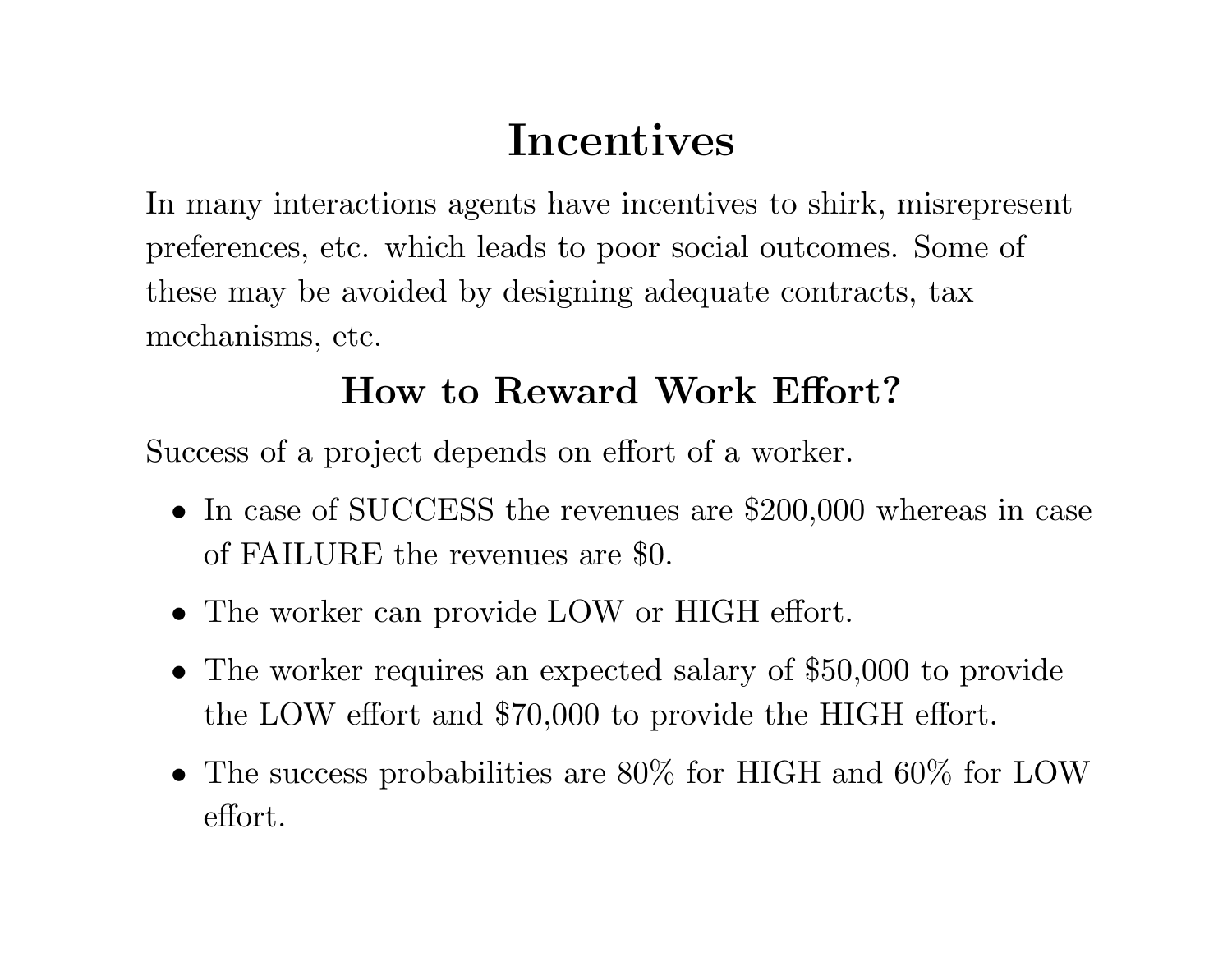## **Incentives**

In many interactions agents have incentives to shirk, misrepresent preferences, etc. which leads to poor social outcomes. Some of these may be avoided by designing adequate contracts, tax mechanisms, etc.

## **How to Reward Work Effort?**

Success of <sup>a</sup> project depends on effort of <sup>a</sup> worker.

- In case of SUCCESS the revenues are \$200,000 whereas in case of FAILURE the revenues are \$0.
- The worker can provide LOW or HIGH effort.
- The worker requires an expected salary of \$50,000 to provide the LOW effort and \$70,000 to provide the HIGH effort.
- The success probabilities are 80% for HIGH and 60% for LOW effort.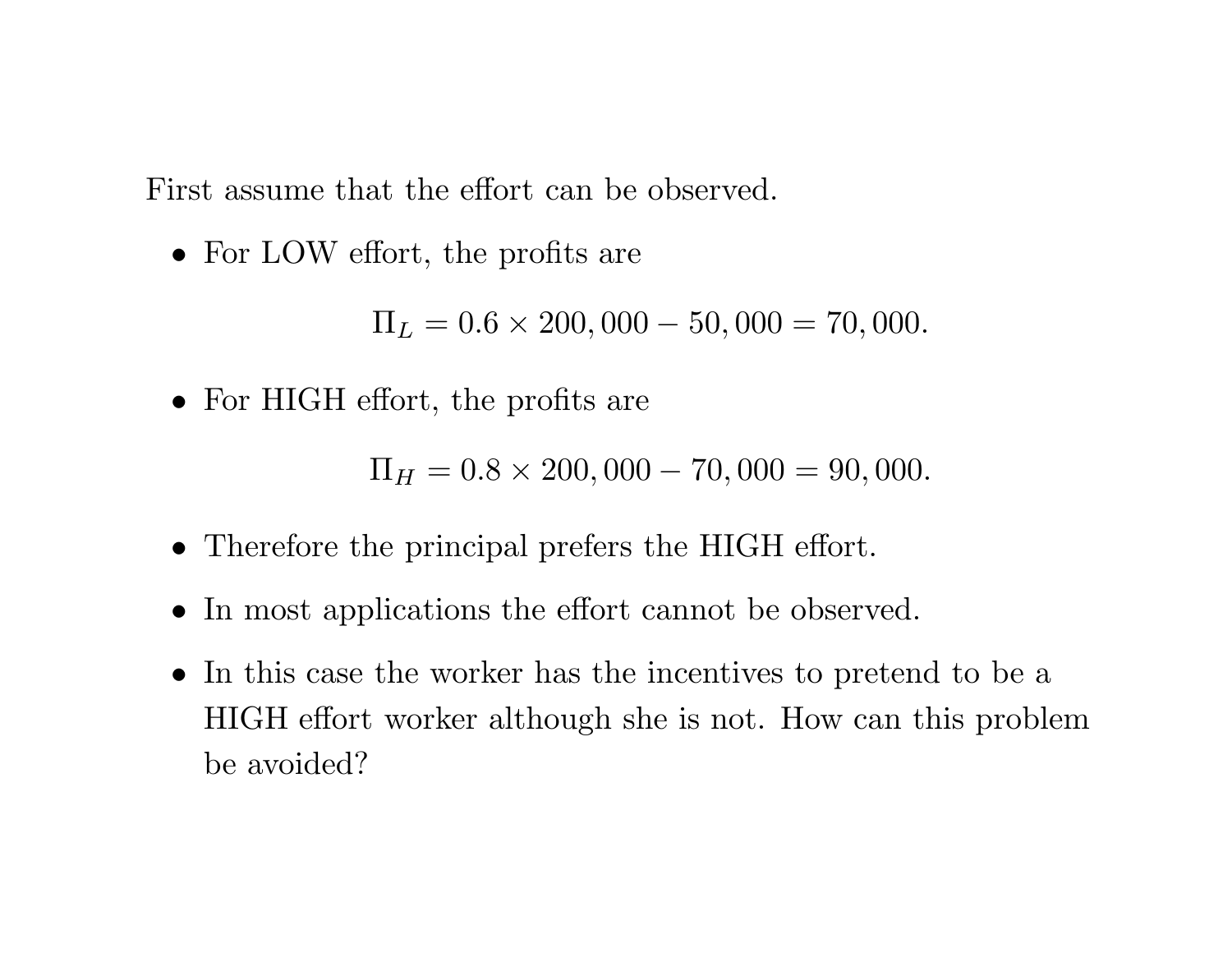First assume that the effort can be observed.

• For LOW effort, the profits are

 $\Pi_L=0.6\times200,000$  $-50,000 = 70,000.$ 

• For HIGH effort, the profits are

 $\Pi_H=0.8\times200,000$ − $-70,000 = 90,000.$ 

- Therefore the principal prefers the HIGH effort.
- In most applications the effort cannot be observed.
- In this case the worker has the incentives to pretend to be <sup>a</sup> HIGH effort worker although she is not. How can this problem be avoided?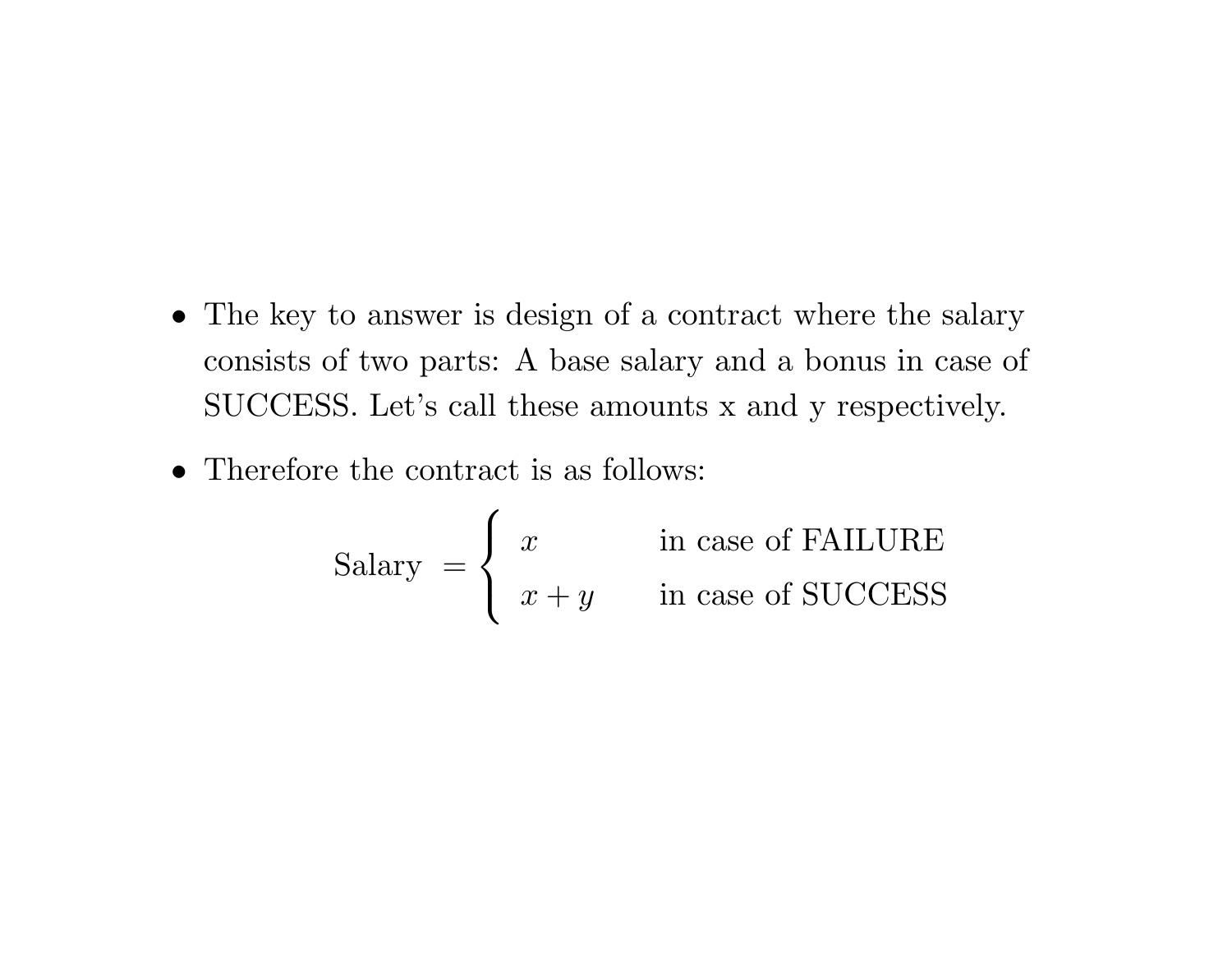- The key to answer is design of a contract where the salary consists of two parts: A base salary and <sup>a</sup> bonus in case of SUCCESS. Let's call these amounts <sup>x</sup> and <sup>y</sup> respectively.
- Therefore the contract is as follows:

$$
Salary = \begin{cases} x & \text{in case of FAILURE} \\ x + y & \text{in case of SUCCESS} \end{cases}
$$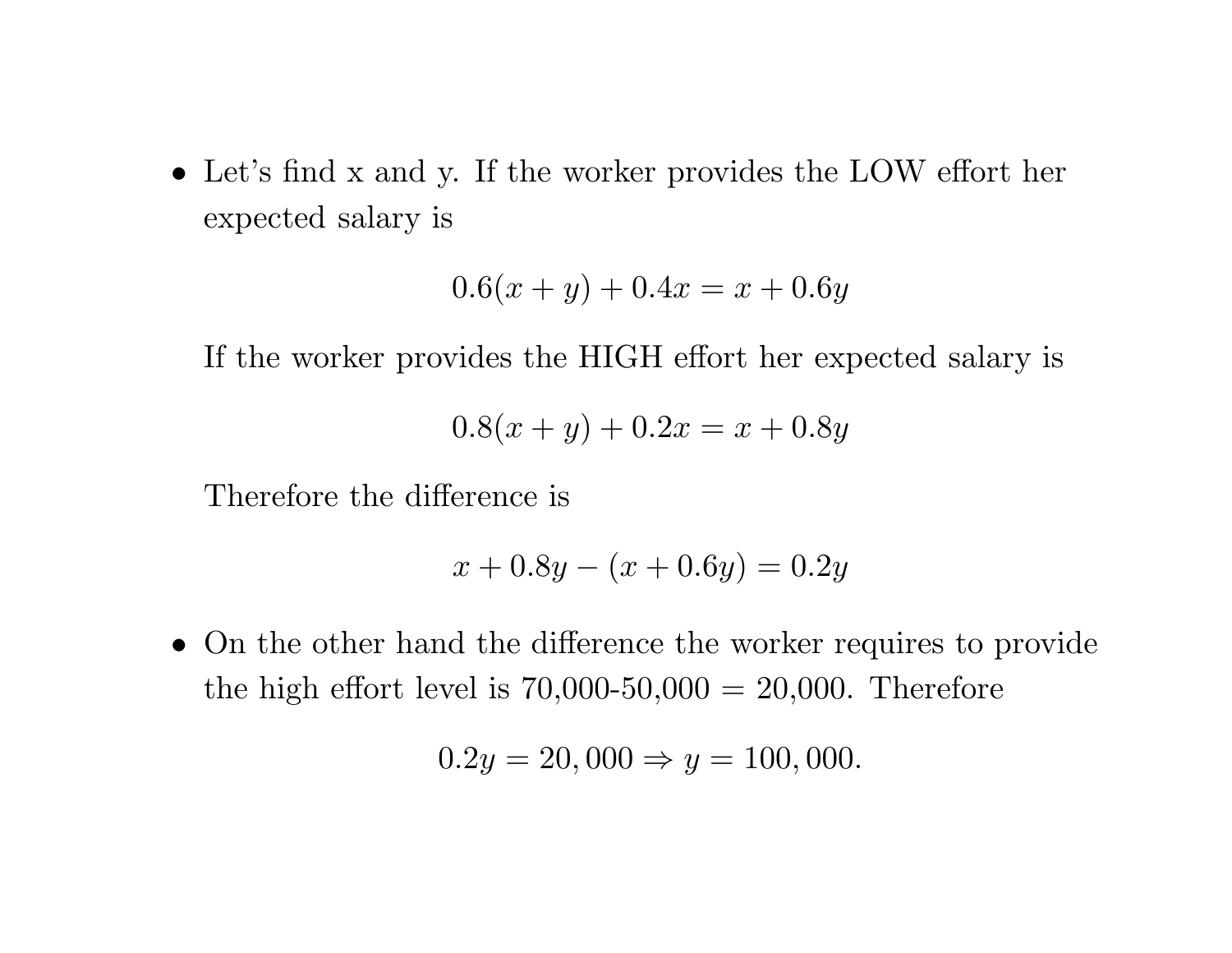• Let's find <sup>x</sup> and y. If the worker provides the LOW effort her expected salary is

$$
0.6(x + y) + 0.4x = x + 0.6y
$$

If the worker provides the HIGH effort her expected salary is

$$
0.8(x + y) + 0.2x = x + 0.8y
$$

Therefore the difference is

$$
x + 0.8y - (x + 0.6y) = 0.2y
$$

• On the other hand the difference the worker requires to provide the high effort level is  $70,000-50,000 = 20,000$ . Therefore

$$
0.2y = 20,000 \Rightarrow y = 100,000.
$$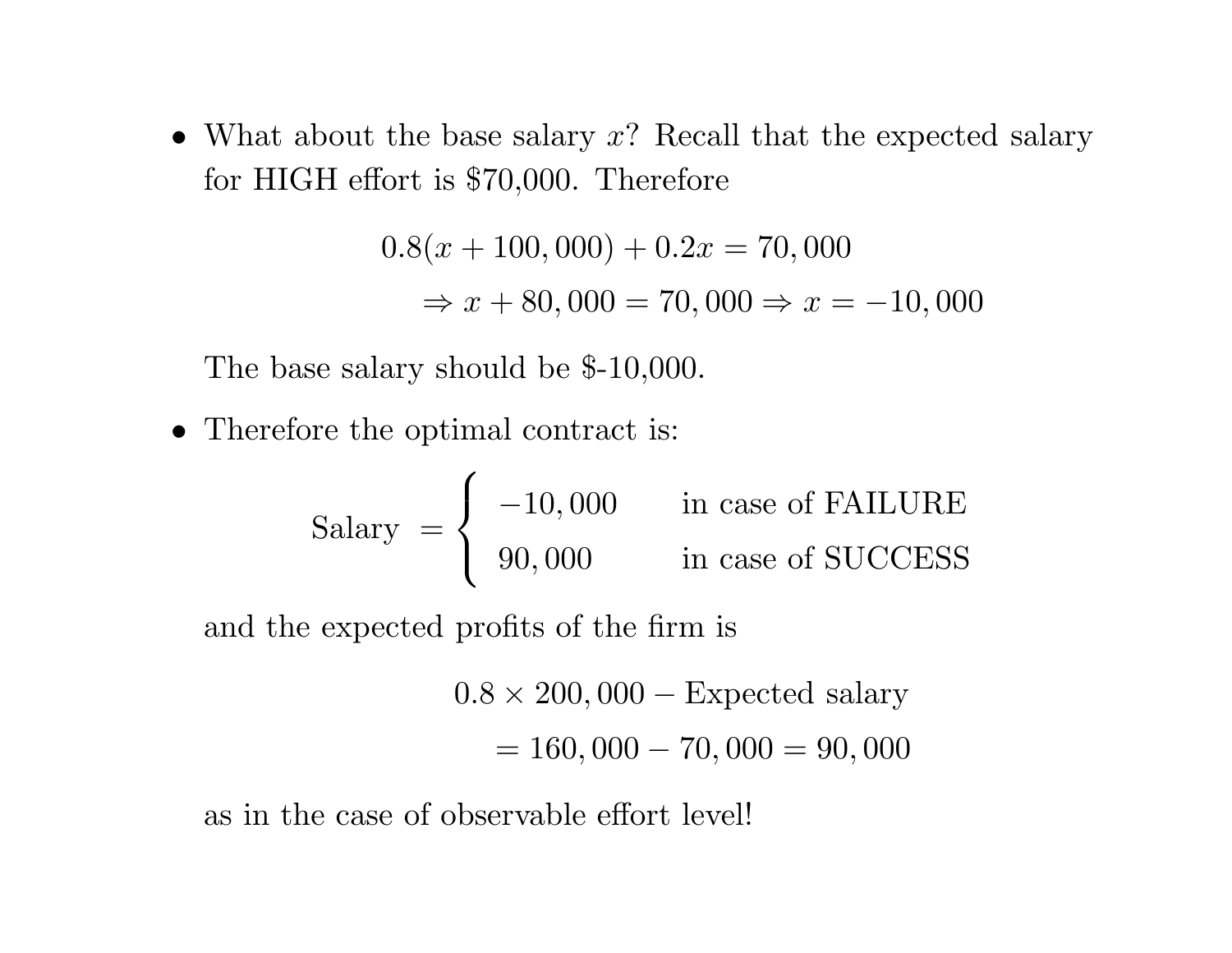• What about the base salary *<sup>x</sup>*? Recall that the expected salary for HIGH effort is \$70,000. Therefore

> $0.8(x + 100,000) + 0.2x = 70,000$  $\Rightarrow$   $x + 80,000 = 70,000 \Rightarrow x = -10,000$

The base salary should be \$-10,000.

• Therefore the optimal contract is:

Salary 
$$
=
$$
  $\begin{cases}\n-10,000 & \text{in case of FAILURE} \\
90,000 & \text{in case of SUCCESS}\n\end{cases}$ 

and the expected profits of the firm is

 $0.8 \times 200,000 -$  Expected salary = 160*,* 000 <sup>−</sup> 70*,* 000 <sup>=</sup> 90*,* 000

as in the case of observable effort level!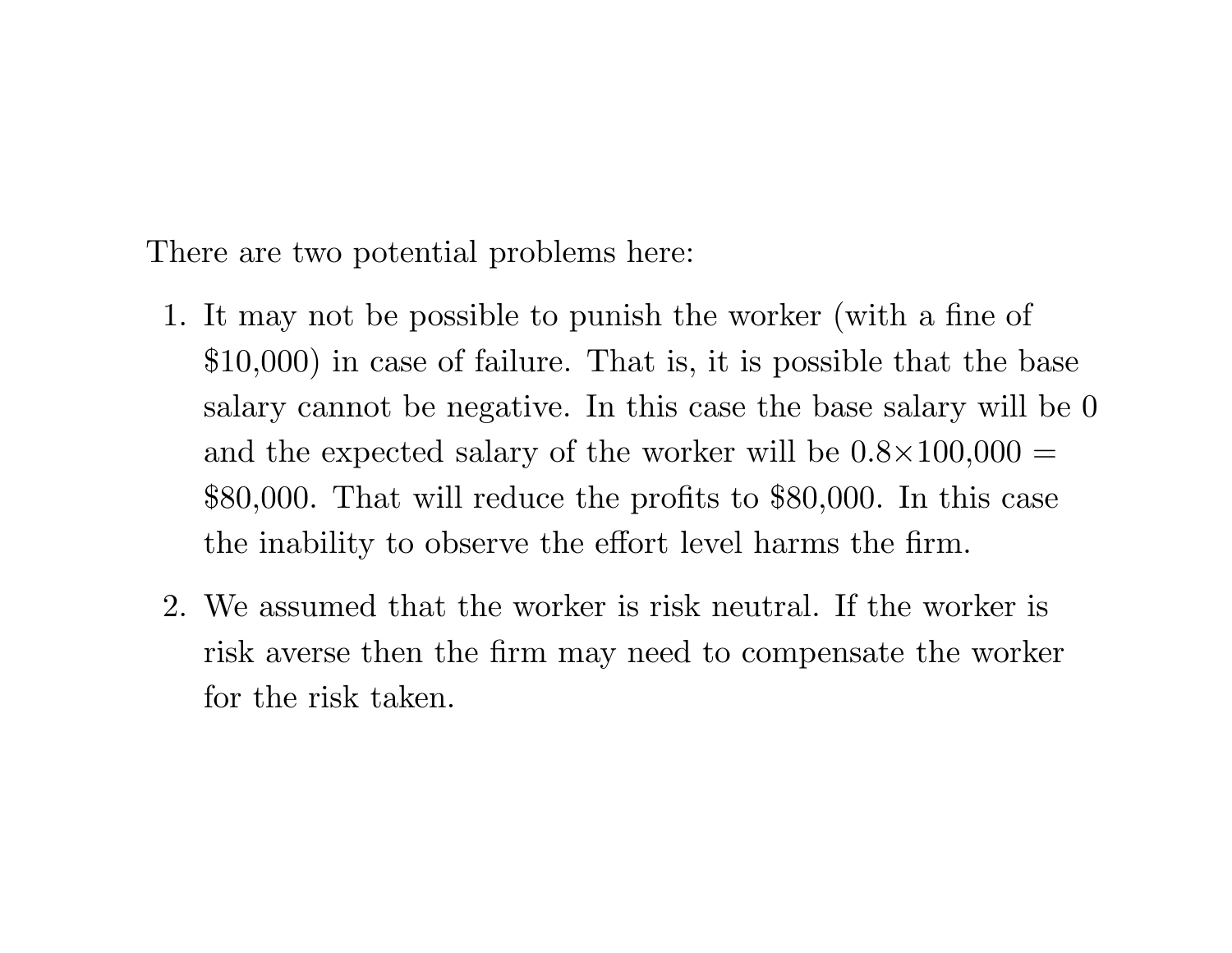There are two potential problems here:

- 1. It may not be possible to punish the worker (with <sup>a</sup> fine of \$10,000) in case of failure. That is, it is possible that the base salary cannot be negative. In this case the base salary will be 0 and the expected salary of the worker will be  $0.8\times100{,}000=$ \$80,000. That will reduce the profits to \$80,000. In this case the inability to observe the effort level harms the firm.
- 2. We assumed that the worker is risk neutral. If the worker is risk averse then the firm may need to compensate the worker for the risk taken.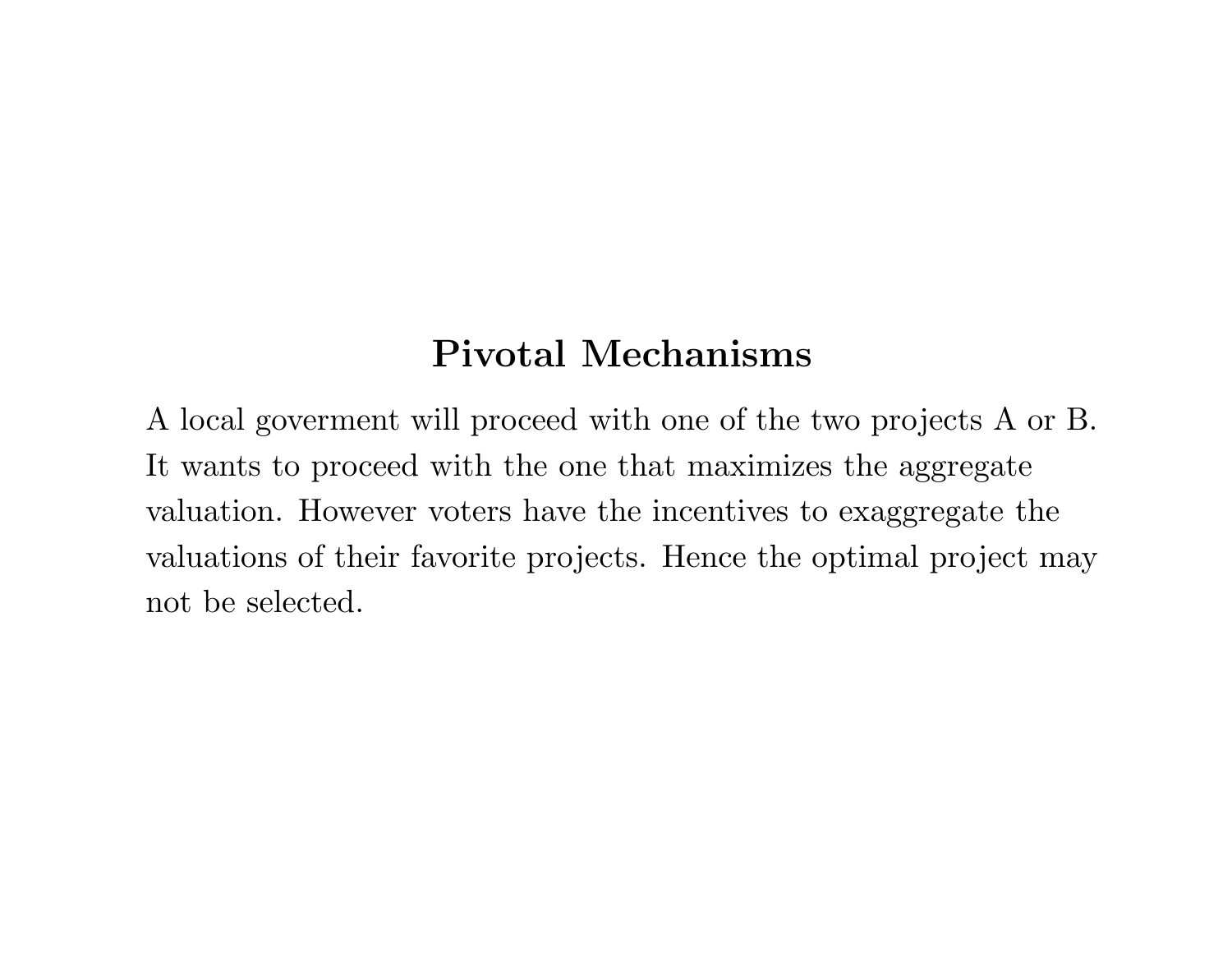## **Pivotal Mechanisms**

A local goverment will proceed with one of the two projects A or B. It wants to proceed with the one that maximizes the aggregate valuation. However voters have the incentives to exaggregate the valuations of their favorite projects. Hence the optimal project may not be selected.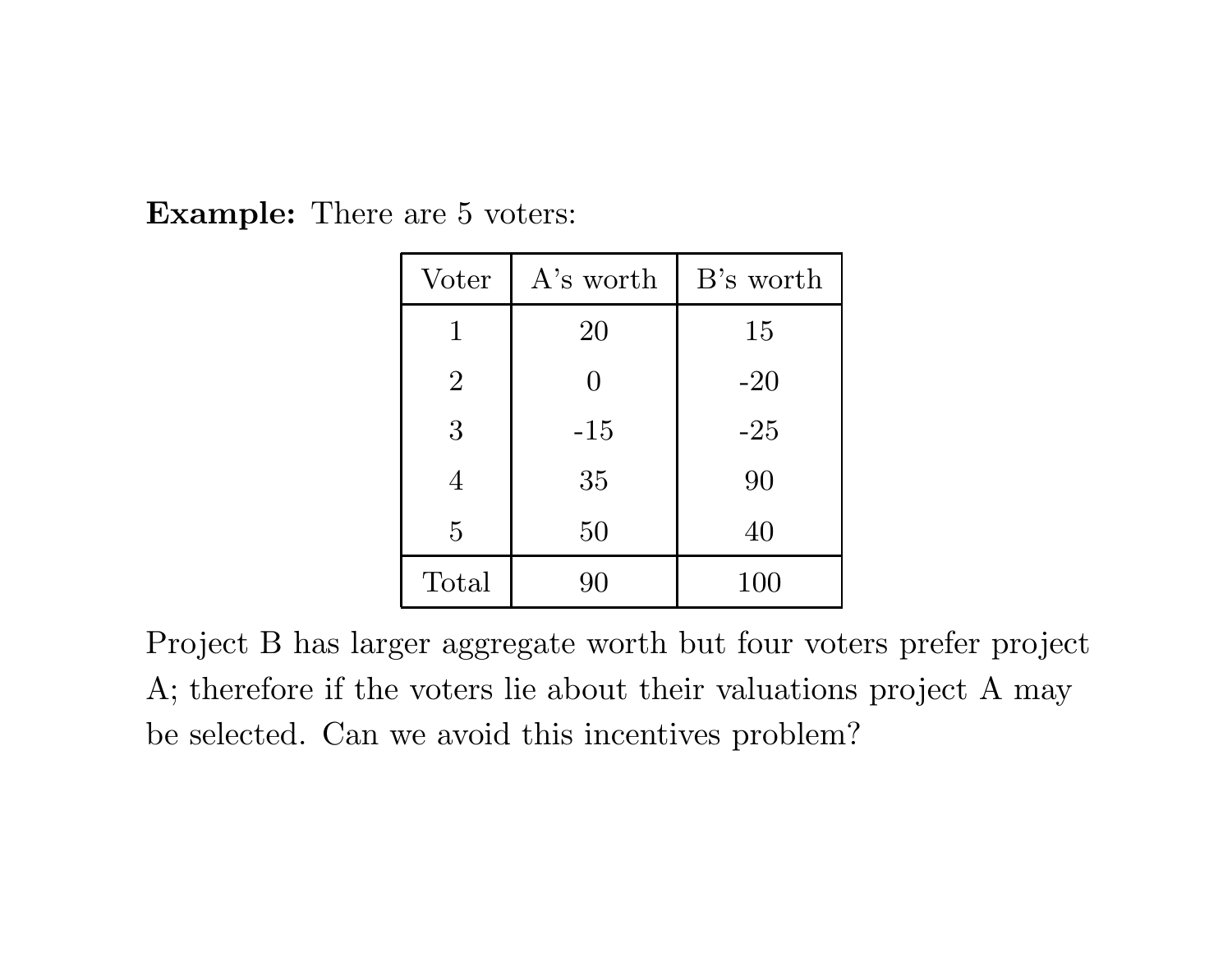**Example:** There are 5 voters:

| Voter          | A's worth | B's worth |
|----------------|-----------|-----------|
| $\mathbf{1}$   | 20        | 15        |
| $\overline{2}$ | $\Omega$  | $-20$     |
| 3              | $-15$     | $-25$     |
| $\overline{4}$ | 35        | 90        |
| 5              | 50        | 40        |
| Total          | 90        | 100       |

Project B has larger aggregate worth but four voters prefer project A; therefore if the voters lie about their valuations project A may be selected. Can we avoid this incentives problem?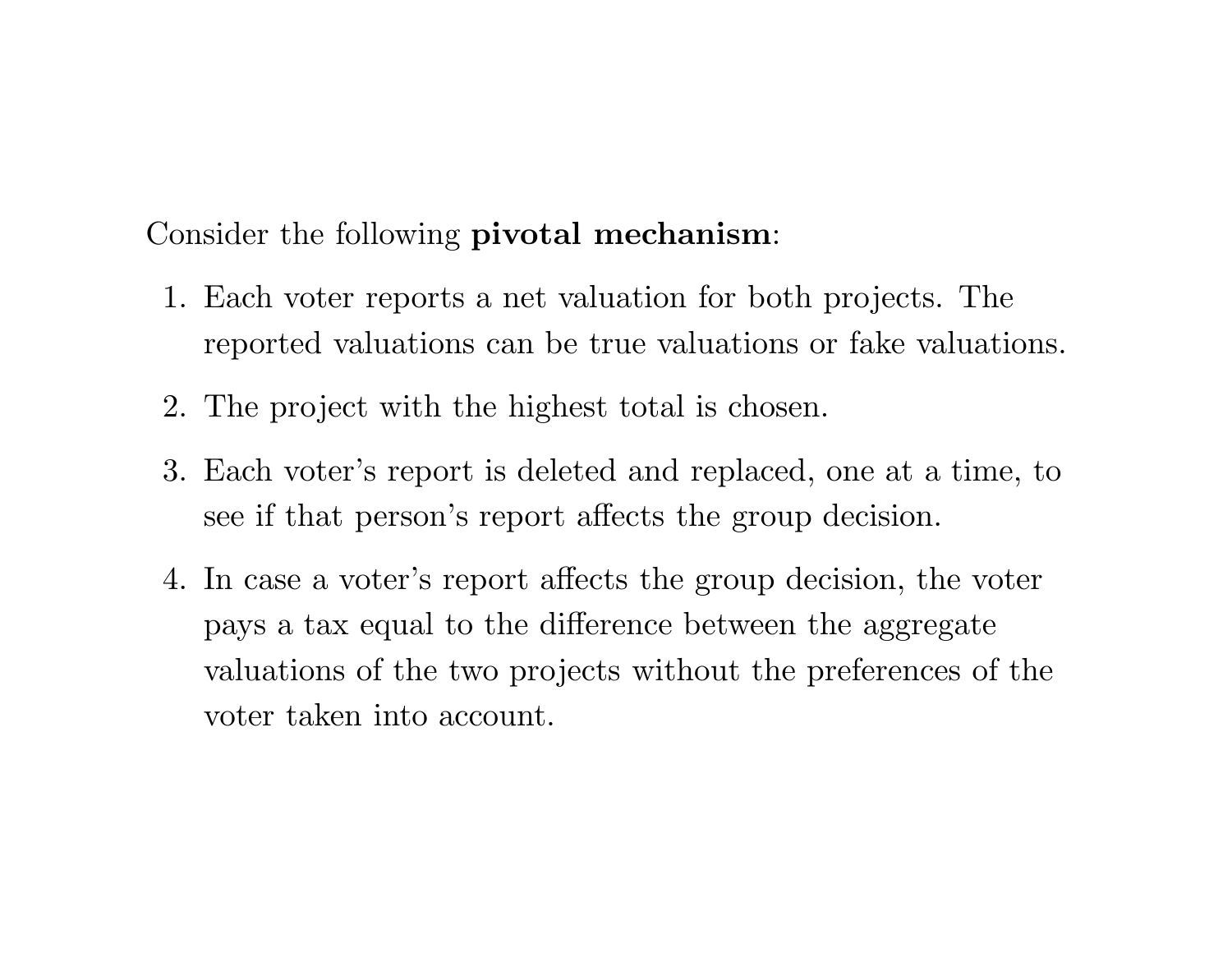Consider the following **pivotal mechanism**:

- 1. Each voter reports <sup>a</sup> net valuation for both projects. The reported valuations can be true valuations or fake valuations.
- 2. The project with the highest total is chosen.
- 3. Each voter's report is deleted and replaced, one at <sup>a</sup> time, to see if that person's report affects the group decision.
- 4. In case <sup>a</sup> voter's report affects the group decision, the voter pays <sup>a</sup> tax equal to the difference between the aggregate valuations of the two projects without the preferences of the voter taken into account.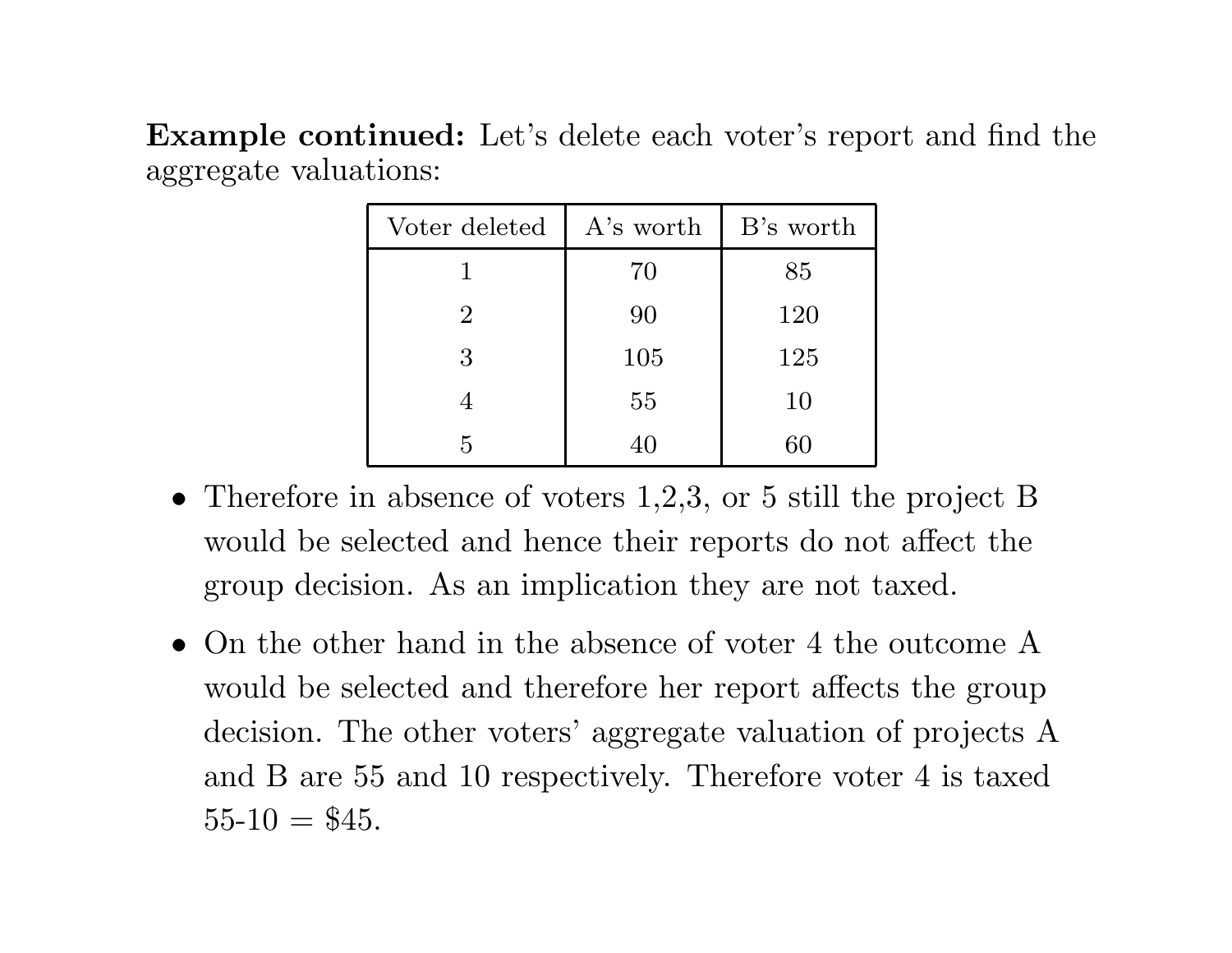**Example continued:** Let's delete each voter's report and find the aggregate valuations:

| Voter deleted  | A's worth | B's worth |
|----------------|-----------|-----------|
|                | 70        | 85        |
| $\overline{2}$ | 90        | 120       |
| 3              | 105       | 125       |
|                | 55        | 10        |
| 5              | 40        | 60        |

- Therefore in absence of voters 1,2,3, or 5 still the project B would be selected and hence their reports do not affect the group decision. As an implication they are not taxed.
- On the other hand in the absence of voter 4 the outcome A would be selected and therefore her report affects the group decision. The other voters' aggregate valuation of projects A and B are 55 and 10 respectively. Therefore voter 4 is taxed  $55-10 = $45.$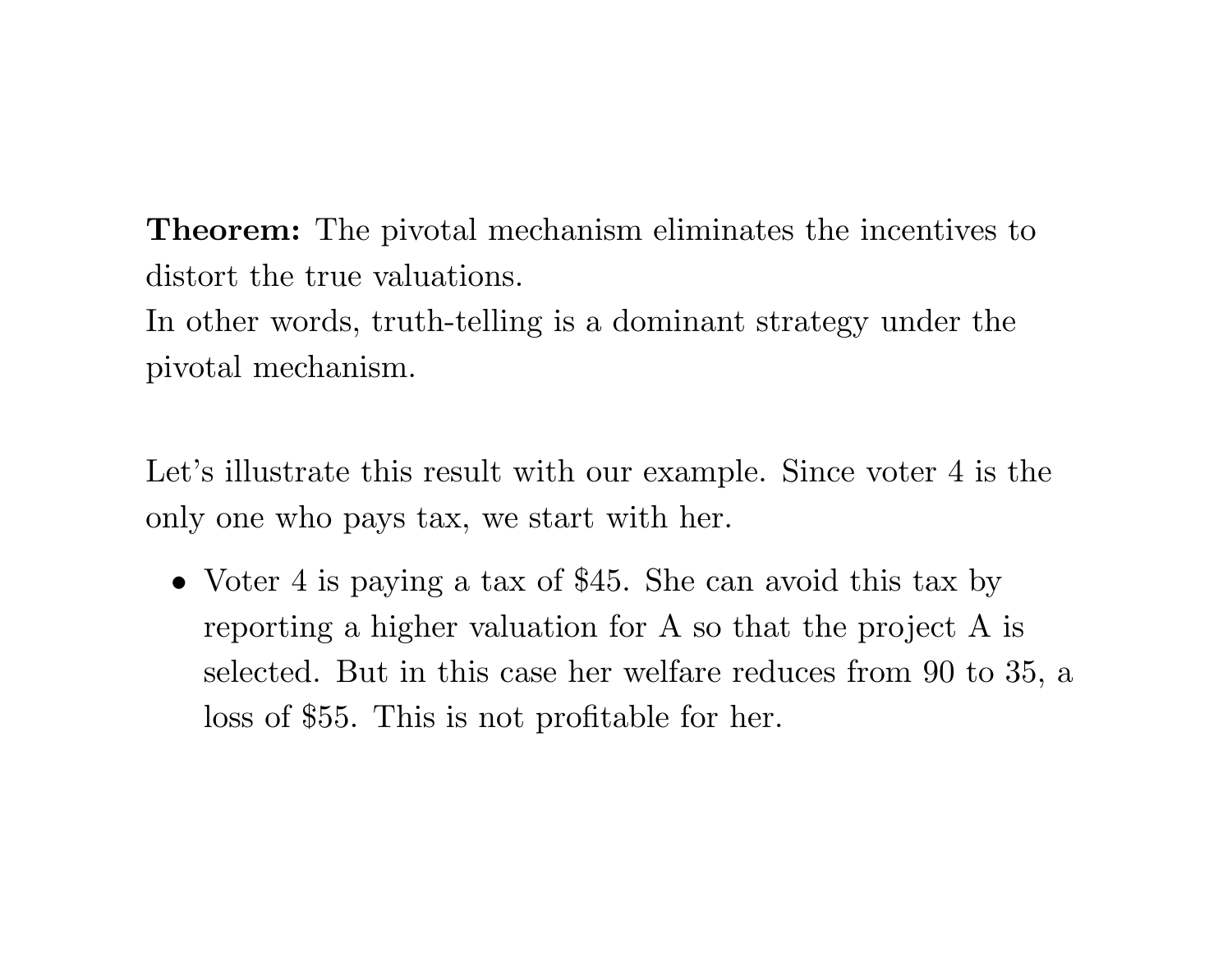**Theorem:** The pivotal mechanism eliminates the incentives to distort the true valuations.

In other words, truth-telling is <sup>a</sup> dominant strategy under the pivotal mechanism.

Let's illustrate this result with our example. Since voter 4 is the only one who pays tax, we start with her.

• Voter 4 is paying a tax of \$45. She can avoid this tax by reporting <sup>a</sup> higher valuation for A so that the project A is selected. But in this case her welfare reduces from 90 to 35, <sup>a</sup> loss of \$55. This is not profitable for her.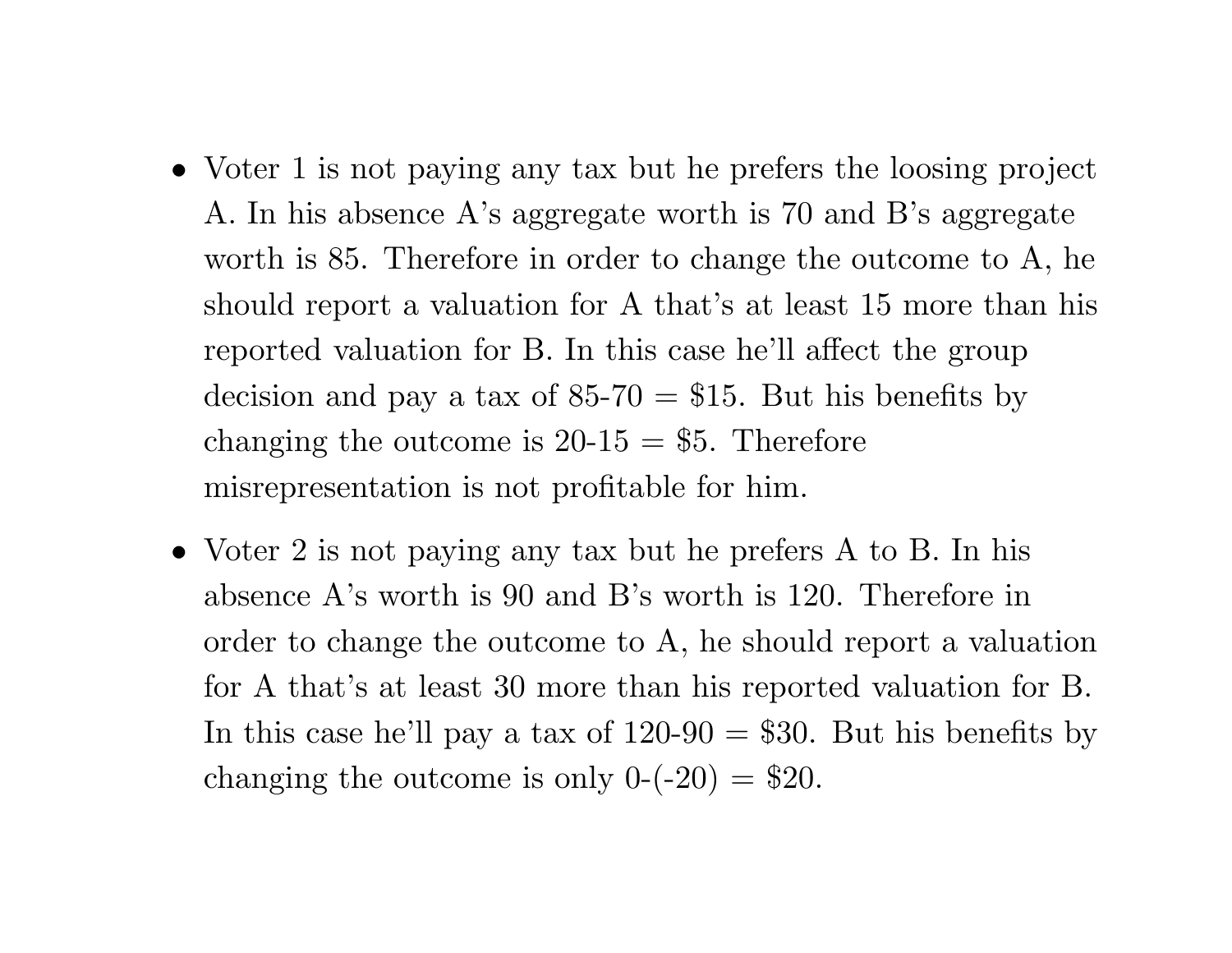- Voter 1 is not paying any tax but he prefers the loosing project A. In his absence A's aggregate worth is 70 and B's aggregate worth is 85. Therefore in order to change the outcome to A, he should report <sup>a</sup> valuation for A that's at least 15 more than his reported valuation for B. In this case he'll affect the group decision and pay a tax of  $85-70 = $15$ . But his benefits by changing the outcome is  $20-15 = $5$ . Therefore misrepresentation is not profitable for him.
- Voter 2 is not paying any tax but he prefers A to B. In his absence A's worth is 90 and B's worth is 120. Therefore in order to change the outcome to A, he should report <sup>a</sup> valuation for A that's at least 30 more than his reported valuation for B. In this case he'll pay a tax of  $120-90 = $30$ . But his benefits by changing the outcome is only  $0$ -(-20) = \$20.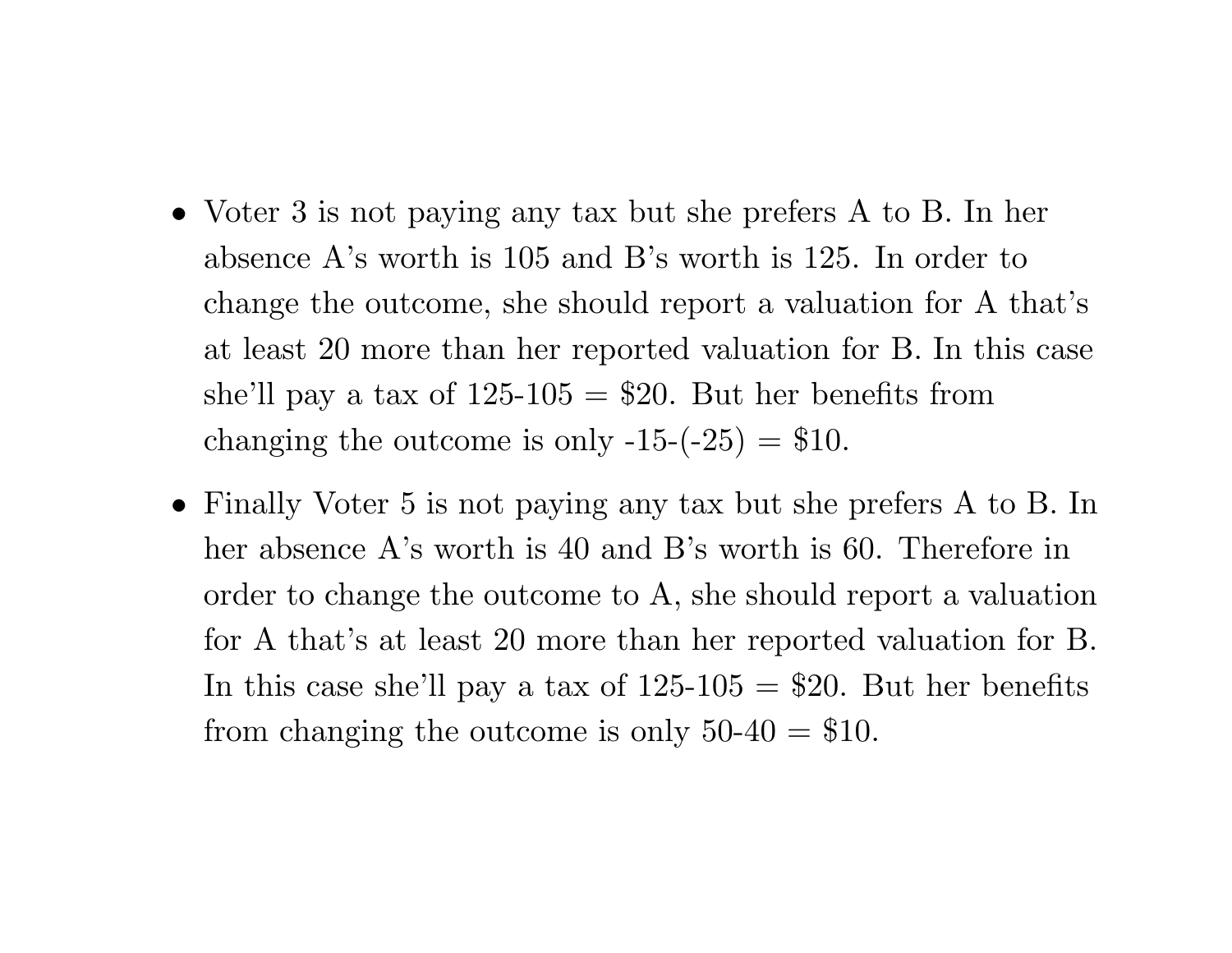- Voter 3 is not paying any tax but she prefers A to B. In her absence A's worth is 105 and B's worth is 125. In order to change the outcome, she should report <sup>a</sup> valuation for A that's at least 20 more than her reported valuation for B. In this case she'll pay a tax of  $125-105 = $20$ . But her benefits from changing the outcome is only  $-15-(-25) = $10$ .
- Finally Voter 5 is not paying any tax but she prefers A to B. In her absence A's worth is 40 and B's worth is 60. Therefore in order to change the outcome to A, she should report <sup>a</sup> valuation for A that's at least 20 more than her reported valuation for B. In this case she'll pay a tax of  $125-105 = $20$ . But her benefits from changing the outcome is only  $50-40 = $10$ .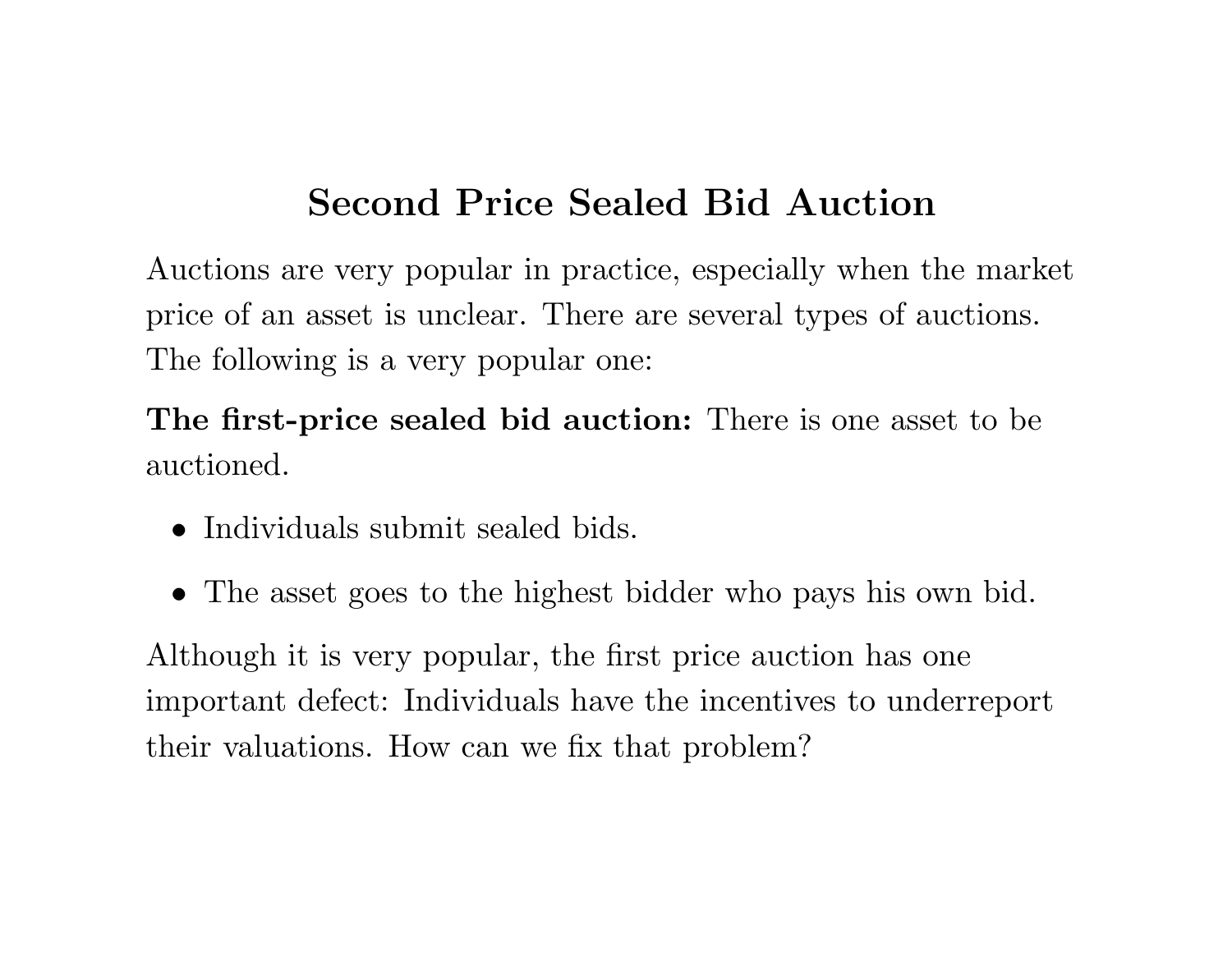## **Second Price Sealed Bid Auction**

Auctions are very popular in practice, especially when the market price of an asset is unclear. There are several types of auctions. The following is <sup>a</sup> very popular one:

**The first-price sealed bid auction:** There is one asset to be auctioned.

- Individuals submit sealed bids.
- The asset goes to the highest bidder who pays his own bid.

Although it is very popular, the first price auction has one important defect: Individuals have the incentives to underreport their valuations. How can we fix that problem?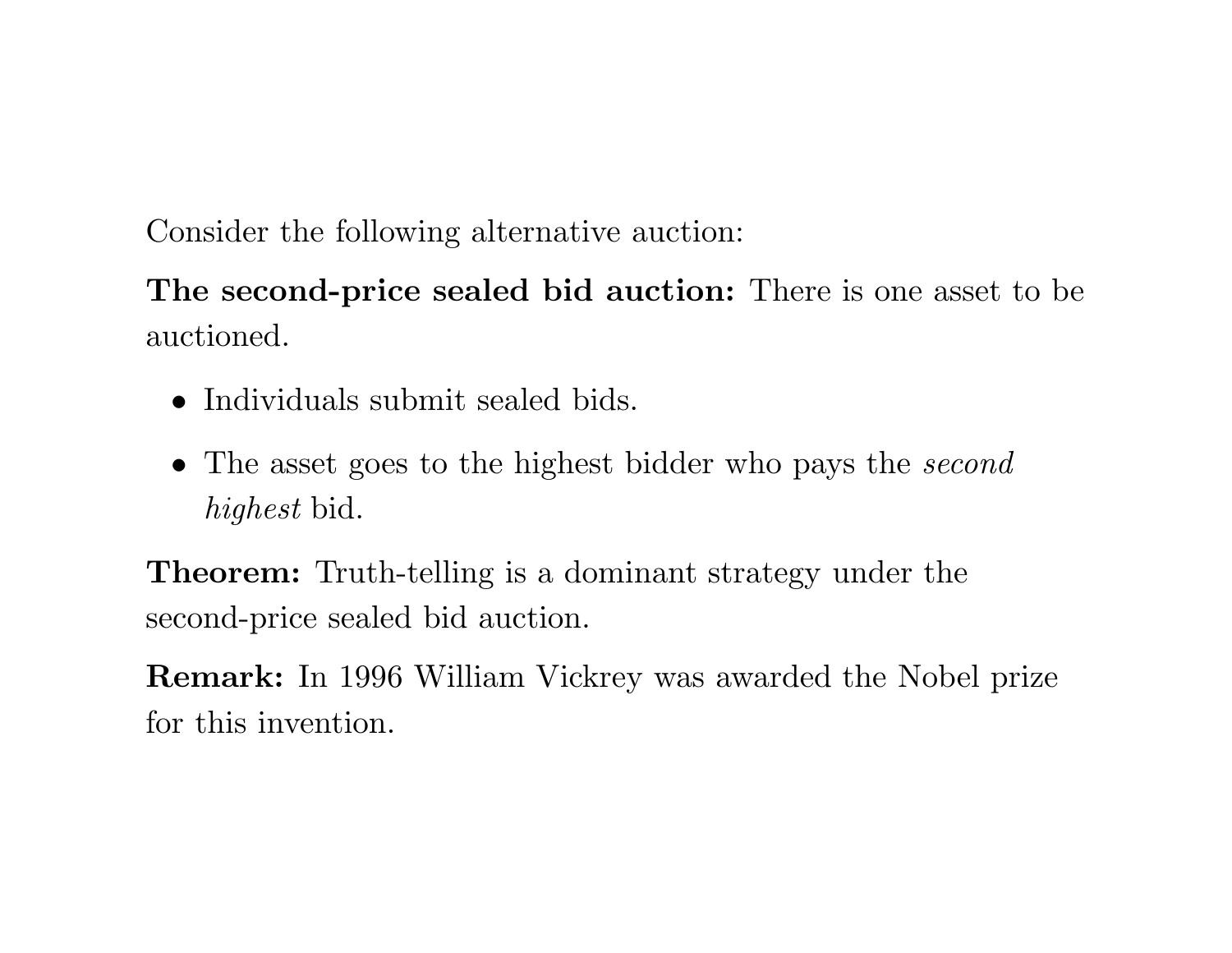Consider the following alternative auction:

**The second-price sealed bid auction:** There is one asset to be auctioned.

- Individuals submit sealed bids.
- The asset goes to the highest bidder who pays the *second highest* bid.

**Theorem:** Truth-telling is <sup>a</sup> dominant strategy under the second-price sealed bid auction.

**Remark:** In 1996 William Vickrey was awarded the Nobel prize for this invention.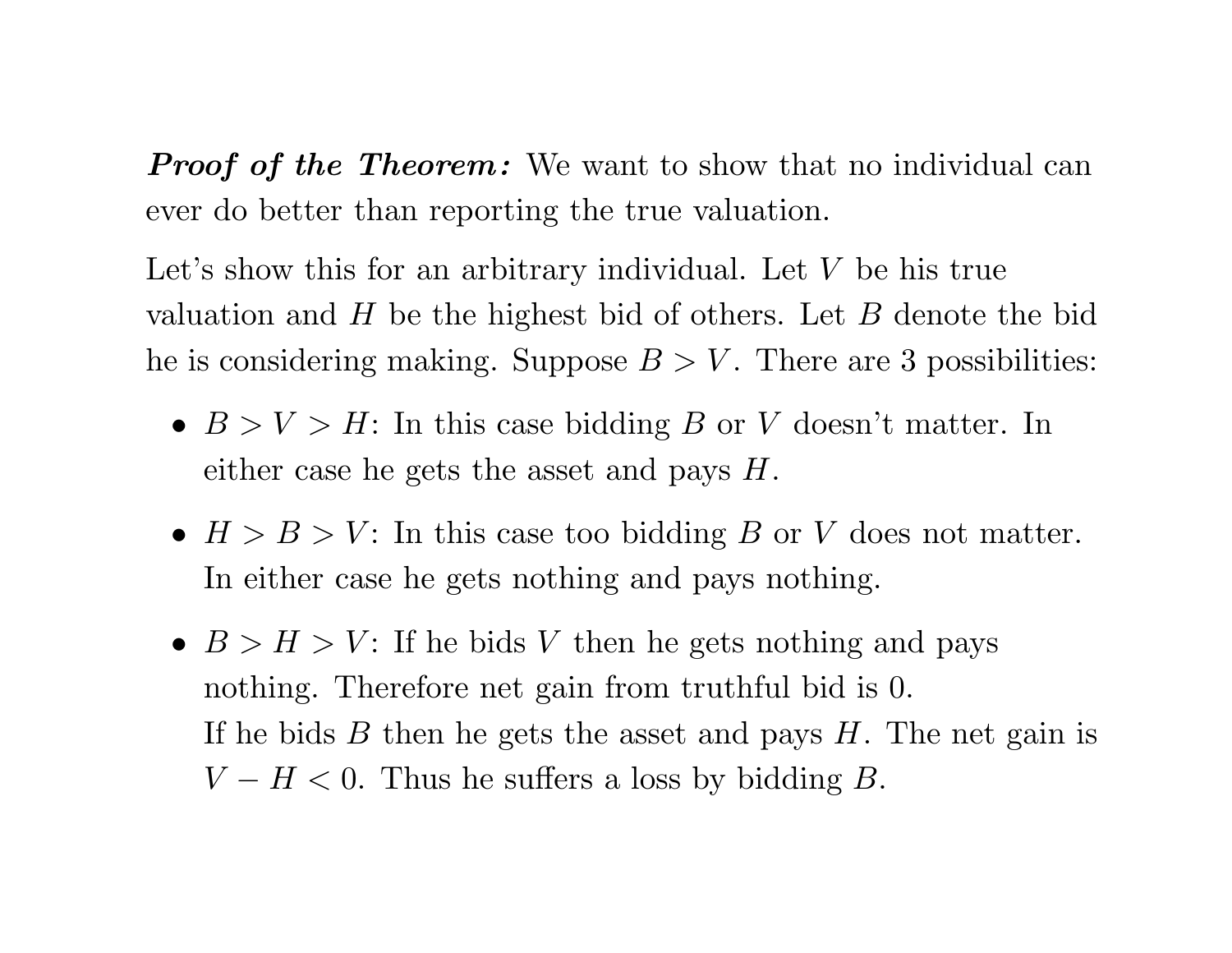*Proof of the Theorem :* We want to show that no individual can ever do better than reporting the true valuation.

Let's show this for an arbitrary individual. Let *V* be his true valuation and *H* be the highest bid of others. Let *B* denote the bid he is considering making. Suppose  $B > V$ . There are 3 possibilities:

- $B > V > H$ : In this case bidding *B* or *V* doesn't matter. In either case he gets the asset and pays *H*.
- *H>B>V* : In this case too bidding *B* or *V* does not matter. In either case he gets nothing and pays nothing.
- $B > H > V$ : If he bids *V* then he gets nothing and pays nothing. Therefore net gain from truthful bid is 0. If he bids *B* then he gets the asset and pays *H*. The net gain is  $V - H < 0$ . Thus he suffers a loss by bidding *B*.